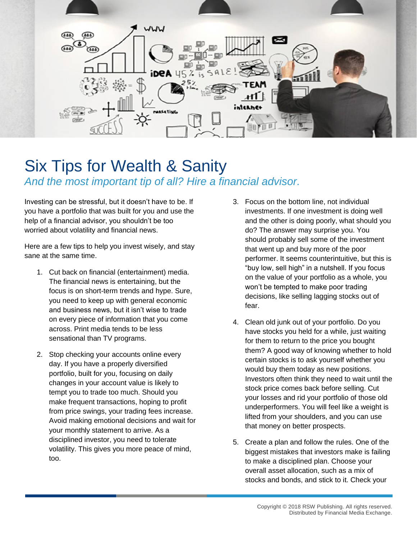

## Six Tips for Wealth & Sanity *And the most important tip of all? Hire a financial advisor.*

Investing can be stressful, but it doesn't have to be. If you have a portfolio that was built for you and use the help of a financial advisor, you shouldn't be too worried about volatility and financial news.

Here are a few tips to help you invest wisely, and stay sane at the same time.

- 1. Cut back on financial (entertainment) media. The financial news is entertaining, but the focus is on short-term trends and hype. Sure, you need to keep up with general economic and business news, but it isn't wise to trade on every piece of information that you come across. Print media tends to be less sensational than TV programs.
- 2. Stop checking your accounts online every day. If you have a properly diversified portfolio, built for you, focusing on daily changes in your account value is likely to tempt you to trade too much. Should you make frequent transactions, hoping to profit from price swings, your trading fees increase. Avoid making emotional decisions and wait for your monthly statement to arrive. As a disciplined investor, you need to tolerate volatility. This gives you more peace of mind, too.
- 3. Focus on the bottom line, not individual investments. If one investment is doing well and the other is doing poorly, what should you do? The answer may surprise you. You should probably sell some of the investment that went up and buy more of the poor performer. It seems counterintuitive, but this is "buy low, sell high" in a nutshell. If you focus on the value of your portfolio as a whole, you won't be tempted to make poor trading decisions, like selling lagging stocks out of fear.
- 4. Clean old junk out of your portfolio. Do you have stocks you held for a while, just waiting for them to return to the price you bought them? A good way of knowing whether to hold certain stocks is to ask yourself whether you would buy them today as new positions. Investors often think they need to wait until the stock price comes back before selling. Cut your losses and rid your portfolio of those old underperformers. You will feel like a weight is lifted from your shoulders, and you can use that money on better prospects.
- 5. Create a plan and follow the rules. One of the biggest mistakes that investors make is failing to make a disciplined plan. Choose your overall asset allocation, such as a mix of stocks and bonds, and stick to it. Check your